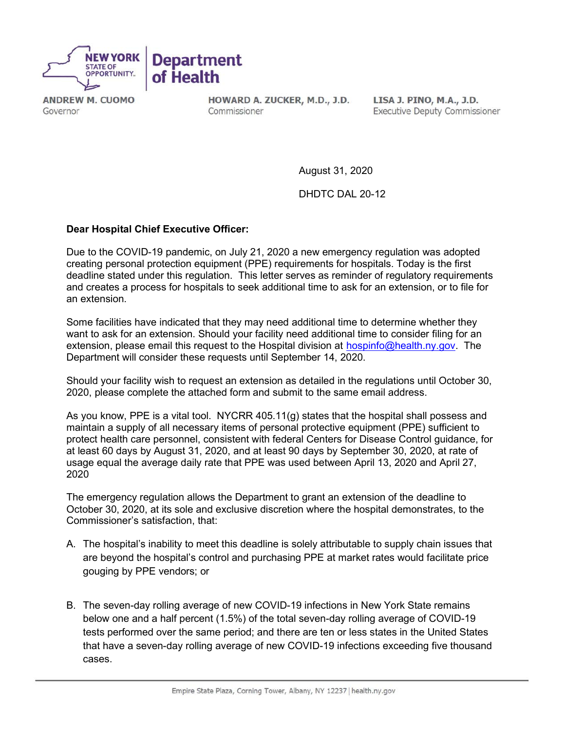

**ANDREW M. CUOMO** Governor

HOWARD A. ZUCKER, M.D., J.D. Commissioner

LISA J. PINO, M.A., J.D. **Executive Deputy Commissioner** 

August 31, 2020

DHDTC DAL 20-12

# Dear Hospital Chief Executive Officer:

Due to the COVID-19 pandemic, on July 21, 2020 a new emergency regulation was adopted creating personal protection equipment (PPE) requirements for hospitals. Today is the first deadline stated under this regulation. This letter serves as reminder of regulatory requirements and creates a process for hospitals to seek additional time to ask for an extension, or to file for an extension.

Some facilities have indicated that they may need additional time to determine whether they want to ask for an extension. Should your facility need additional time to consider filing for an extension, please email this request to the Hospital division at hospinfo@health.ny.gov. The Department will consider these requests until September 14, 2020.

Should your facility wish to request an extension as detailed in the regulations until October 30, 2020, please complete the attached form and submit to the same email address.

As you know, PPE is a vital tool. NYCRR 405.11(g) states that the hospital shall possess and maintain a supply of all necessary items of personal protective equipment (PPE) sufficient to protect health care personnel, consistent with federal Centers for Disease Control guidance, for at least 60 days by August 31, 2020, and at least 90 days by September 30, 2020, at rate of usage equal the average daily rate that PPE was used between April 13, 2020 and April 27, 2020

The emergency regulation allows the Department to grant an extension of the deadline to October 30, 2020, at its sole and exclusive discretion where the hospital demonstrates, to the Commissioner's satisfaction, that:

- A. The hospital's inability to meet this deadline is solely attributable to supply chain issues that are beyond the hospital's control and purchasing PPE at market rates would facilitate price gouging by PPE vendors; or
- B. The seven-day rolling average of new COVID-19 infections in New York State remains below one and a half percent (1.5%) of the total seven-day rolling average of COVID-19 tests performed over the same period; and there are ten or less states in the United States that have a seven-day rolling average of new COVID-19 infections exceeding five thousand cases.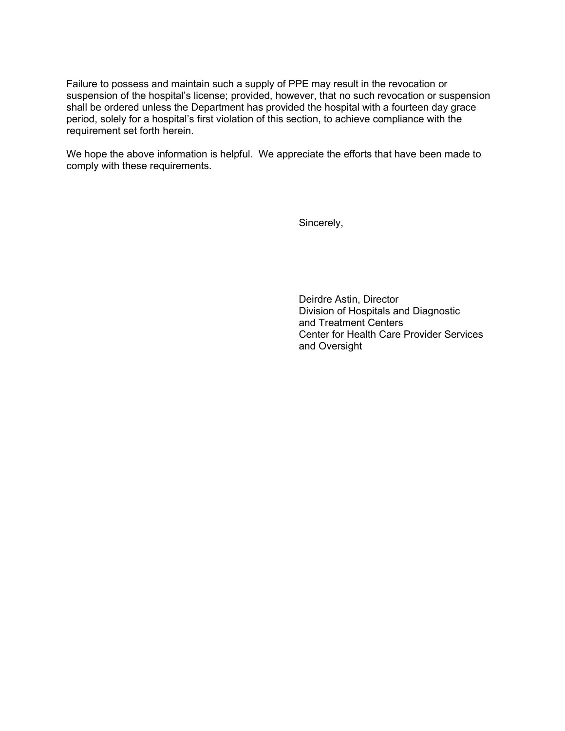Failure to possess and maintain such a supply of PPE may result in the revocation or suspension of the hospital's license; provided, however, that no such revocation or suspension shall be ordered unless the Department has provided the hospital with a fourteen day grace period, solely for a hospital's first violation of this section, to achieve compliance with the requirement set forth herein.

We hope the above information is helpful. We appreciate the efforts that have been made to comply with these requirements.

Sincerely,

Deirdre Astin, Director Division of Hospitals and Diagnostic and Treatment Centers Center for Health Care Provider Services and Oversight